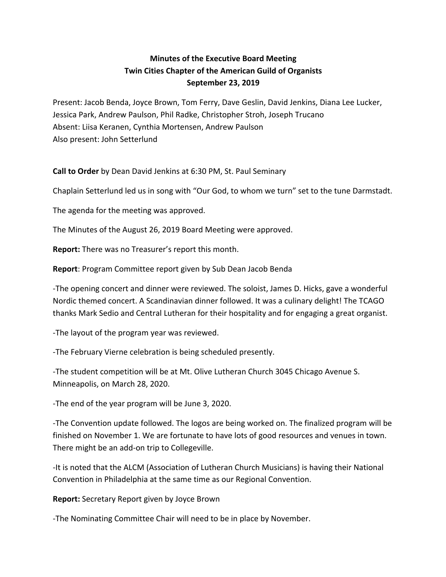## **Minutes of the Executive Board Meeting Twin Cities Chapter of the American Guild of Organists September 23, 2019**

Present: Jacob Benda, Joyce Brown, Tom Ferry, Dave Geslin, David Jenkins, Diana Lee Lucker, Jessica Park, Andrew Paulson, Phil Radke, Christopher Stroh, Joseph Trucano Absent: Liisa Keranen, Cynthia Mortensen, Andrew Paulson Also present: John Setterlund

**Call to Order** by Dean David Jenkins at 6:30 PM, St. Paul Seminary

Chaplain Setterlund led us in song with "Our God, to whom we turn" set to the tune Darmstadt.

The agenda for the meeting was approved.

The Minutes of the August 26, 2019 Board Meeting were approved.

**Report:** There was no Treasurer's report this month.

**Report**: Program Committee report given by Sub Dean Jacob Benda

-The opening concert and dinner were reviewed. The soloist, James D. Hicks, gave a wonderful Nordic themed concert. A Scandinavian dinner followed. It was a culinary delight! The TCAGO thanks Mark Sedio and Central Lutheran for their hospitality and for engaging a great organist.

-The layout of the program year was reviewed.

-The February Vierne celebration is being scheduled presently.

-The student competition will be at Mt. Olive Lutheran Church 3045 Chicago Avenue S. Minneapolis, on March 28, 2020.

-The end of the year program will be June 3, 2020.

-The Convention update followed. The logos are being worked on. The finalized program will be finished on November 1. We are fortunate to have lots of good resources and venues in town. There might be an add-on trip to Collegeville.

-It is noted that the ALCM (Association of Lutheran Church Musicians) is having their National Convention in Philadelphia at the same time as our Regional Convention.

**Report:** Secretary Report given by Joyce Brown

-The Nominating Committee Chair will need to be in place by November.